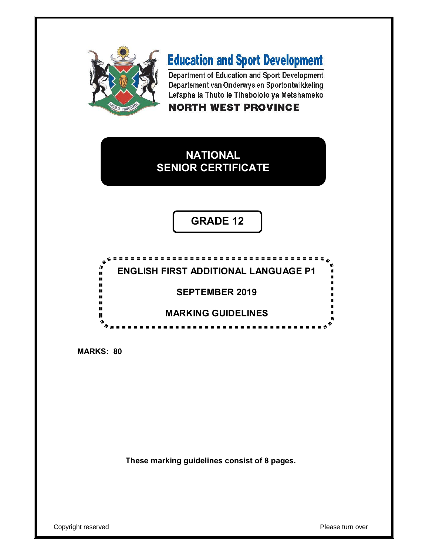

# **Education and Sport Development**

Department of Education and Sport Development Departement van Onderwys en Sportontwikkeling Lefapha la Thuto le Tihabololo ya Metshameko

### **NORTH WEST PROVINCE**

# **NATIONAL SENIOR CERTIFICATE**

**GRADE 12**



**MARKS: 80**

**These marking guidelines consist of 8 pages.**

Copyright reserved **Please turn over**  $\blacksquare$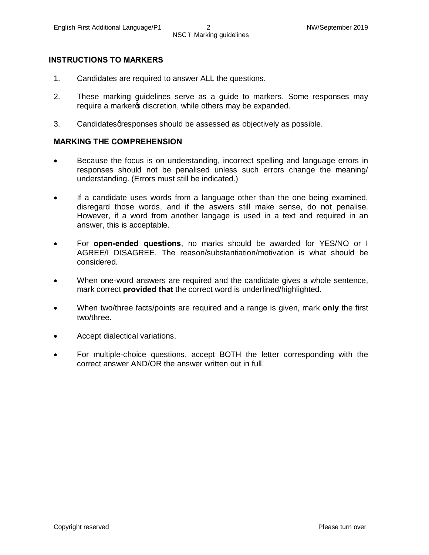#### **INSTRUCTIONS TO MARKERS**

- 1. Candidates are required to answer ALL the questions.
- 2. These marking guidelines serve as a guide to markers. Some responses may require a marker os discretion, while others may be expanded.
- 3. Candidates gresponses should be assessed as objectively as possible.

#### **MARKING THE COMPREHENSION**

- Because the focus is on understanding, incorrect spelling and language errors in responses should not be penalised unless such errors change the meaning/ understanding. (Errors must still be indicated.)
- · If a candidate uses words from a language other than the one being examined, disregard those words, and if the aswers still make sense, do not penalise. However, if a word from another langage is used in a text and required in an answer, this is acceptable.
- · For **open-ended questions**, no marks should be awarded for YES/NO or I AGREE/I DISAGREE. The reason/substantiation/motivation is what should be considered.
- · When one-word answers are required and the candidate gives a whole sentence, mark correct **provided that** the correct word is underlined/highlighted.
- · When two/three facts/points are required and a range is given, mark **only** the first two/three.
- Accept dialectical variations.
- For multiple-choice questions, accept BOTH the letter corresponding with the correct answer AND/OR the answer written out in full.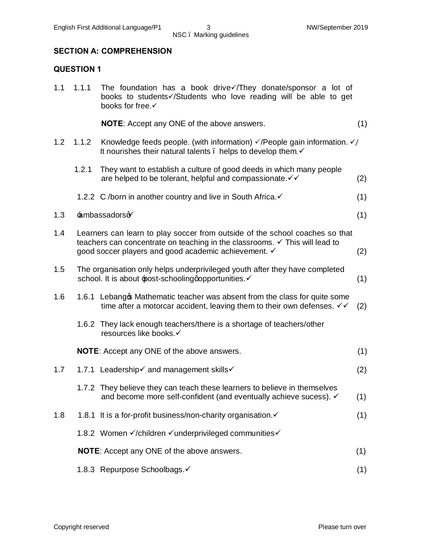## NSC – Marking guidelines

#### **SECTION A: COMPREHENSION**

#### **QUESTION 1**

| 1.1 | 1.1.1 | The foundation has a book drive /They donate/sponsor a lot of<br>books to students //Students who love reading will be able to get<br>books for free.                                                                          |     |
|-----|-------|--------------------------------------------------------------------------------------------------------------------------------------------------------------------------------------------------------------------------------|-----|
|     |       | <b>NOTE:</b> Accept any ONE of the above answers.                                                                                                                                                                              | (1) |
| 1.2 | 1.1.2 | Knowledge feeds people. (with information) $\sqrt{P}$ eople gain information. $\sqrt{P}$<br>It nourishes their natural talents. helps to develop them.√                                                                        |     |
|     | 1.2.1 | They want to establish a culture of good deeds in which many people<br>are helped to be tolerant, helpful and compassionate. V V                                                                                               | (2) |
|     |       | 1.2.2 C /born in another country and live in South Africa.√                                                                                                                                                                    | (1) |
| 1.3 |       | ambassadorso                                                                                                                                                                                                                   | (1) |
| 1.4 |       | Learners can learn to play soccer from outside of the school coaches so that<br>teachers can concentrate on teaching in the classrooms. $\checkmark$ This will lead to<br>good soccer players and good academic achievement. ✓ | (2) |
| 1.5 |       | The organisation only helps underprivileged youth after they have completed<br>school. It is about post-schooling qopportunities.                                                                                              | (1) |
| 1.6 |       | 1.6.1 Lebang \$Mathematic teacher was absent from the class for quite some<br>time after a motorcar accident, leaving them to their own defenses. V V                                                                          | (2) |
|     |       | 1.6.2 They lack enough teachers/there is a shortage of teachers/other<br>resources like books.√                                                                                                                                |     |
|     |       | <b>NOTE:</b> Accept any ONE of the above answers.                                                                                                                                                                              | (1) |
| 1.7 |       | 1.7.1 Leadership√ and management skills√                                                                                                                                                                                       | (2) |
|     |       | 1.7.2 They believe they can teach these learners to believe in themselves<br>and become more self-confident (and eventually achieve sucess). √                                                                                 | (1) |
| 1.8 |       | 1.8.1 It is a for-profit business/non-charity organisation.                                                                                                                                                                    | (1) |
|     |       | 1.8.2 Women √/children √underprivileged communities√                                                                                                                                                                           |     |
|     |       | <b>NOTE:</b> Accept any ONE of the above answers.                                                                                                                                                                              | (1) |
|     |       | 1.8.3 Repurpose Schoolbags.√                                                                                                                                                                                                   | (1) |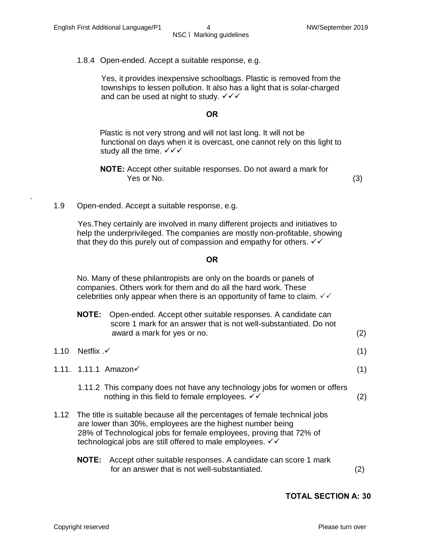.

1.8.4 Open-ended. Accept a suitable response, e.g.

 Yes, it provides inexpensive schoolbags. Plastic is removed from the townships to lessen pollution. It also has a light that is solar-charged and can be used at night to study.  $\checkmark\checkmark$ 

#### **OR**

 Plastic is not very strong and will not last long. It will not be functional on days when it is overcast, one cannot rely on this light to study all the time.  $\sqrt{\sqrt{}}$ 

**NOTE:** Accept other suitable responses. Do not award a mark for **Pressure No.** (3)

1.9 Open-ended. Accept a suitable response, e.g.

 Yes.They certainly are involved in many different projects and initiatives to help the underprivileged. The companies are mostly non-profitable, showing that they do this purely out of compassion and empathy for others.  $\checkmark\checkmark$ 

#### **OR**

No. Many of these philantropists are only on the boards or panels of companies. Others work for them and do all the hard work. These celebrities only appear when there is an opportunity of fame to claim.  $\sqrt{2}$ 

|                           | <b>NOTE:</b> Open-ended. Accept other suitable responses. A candidate can<br>score 1 mark for an answer that is not well-substantiated. Do not<br>award a mark for yes or no. | (2)               |
|---------------------------|-------------------------------------------------------------------------------------------------------------------------------------------------------------------------------|-------------------|
| 1.10 Netflix $\checkmark$ |                                                                                                                                                                               | (1)               |
|                           | 1.11. 1.11.1 Amazon√                                                                                                                                                          | (1)               |
|                           | 1.11.2 This company does not have any technology jobs for women or offers<br>nothing in this field to female employees. √√                                                    | $\left( 2\right)$ |

- 1.12 The title is suitable because all the percentages of female technical jobs are lower than 30%, employees are the highest number being 28% of Technological jobs for female employees, proving that 72% of technological jobs are still offered to male employees.  $\checkmark\checkmark$ 
	- **NOTE:** Accept other suitable responses. A candidate can score 1 mark for an answer that is not well-substantiated. (2)

#### **TOTAL SECTION A: 30**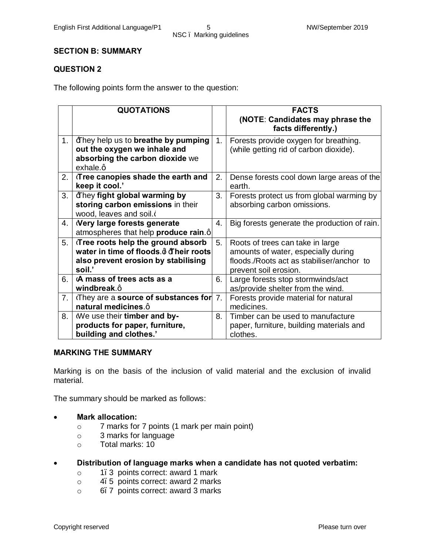# NSC – Marking guidelines

#### **SECTION B: SUMMARY**

#### **QUESTION 2**

The following points form the answer to the question:

|    | <b>QUOTATIONS</b>                                                                                                                   |                | <b>FACTS</b>                                                                                                                                  |
|----|-------------------------------------------------------------------------------------------------------------------------------------|----------------|-----------------------------------------------------------------------------------------------------------------------------------------------|
|    |                                                                                                                                     |                | (NOTE: Candidates may phrase the<br>facts differently.)                                                                                       |
| 1. | Ethey help us to breathe by pumping<br>out the oxygen we inhale and<br>absorbing the carbon dioxide we<br>exhale.q                  | 1.             | Forests provide oxygen for breathing.<br>(while getting rid of carbon dioxide).                                                               |
| 2. | Tree canopies shade the earth and<br>keep it cool.'                                                                                 | 2.             | Dense forests cool down large areas of the<br>earth.                                                                                          |
| 3. | <b>Example 3</b> They fight global warming by<br>storing carbon emissions in their<br>wood, leaves and soil.                        | 3.             | Forests protect us from global warming by<br>absorbing carbon omissions.                                                                      |
| 4. | Nery large forests generate<br>atmospheres that help produce rain.q                                                                 | 4.             | Big forests generate the production of rain.                                                                                                  |
| 5. | :Tree roots help the ground absorb<br>water in time of floods.d <b>Their roots</b><br>also prevent erosion by stabilising<br>soil.' | 5.             | Roots of trees can take in large<br>amounts of water, especially during<br>floods./Roots act as stabiliser/anchor to<br>prevent soil erosion. |
| 6. | -A mass of trees acts as a<br>windbreak.q                                                                                           | 6.             | Large forests stop stormwinds/act<br>as/provide shelter from the wind.                                                                        |
| 7. | :They are a source of substances for<br>natural medicines.q                                                                         | 7 <sub>1</sub> | Forests provide material for natural<br>medicines.                                                                                            |
| 8. | -We use their timber and by-<br>products for paper, furniture,<br>building and clothes.'                                            | 8.             | Timber can be used to manufacture<br>paper, furniture, building materials and<br>clothes.                                                     |

#### **MARKING THE SUMMARY**

Marking is on the basis of the inclusion of valid material and the exclusion of invalid material.

The summary should be marked as follows:

#### · **Mark allocation:**

- o 7 marks for 7 points (1 mark per main point)
- o 3 marks for language
- o Total marks: 10

#### · **Distribution of language marks when a candidate has not quoted verbatim:**

- o 1–3 points correct: award 1 mark
- o 4–5 points correct: award 2 marks
- o 6–7 points correct: award 3 marks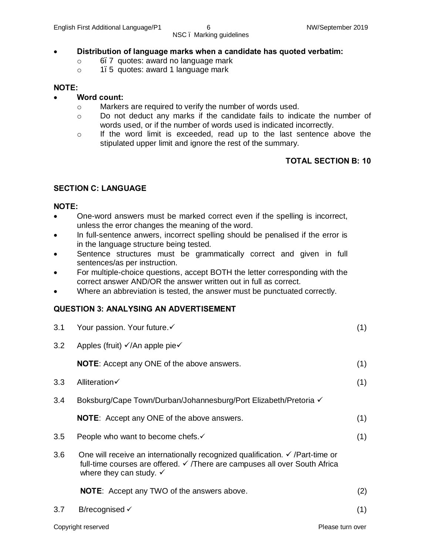#### · **Distribution of language marks when a candidate has quoted verbatim:**

- o 6–7 quotes: award no language mark
- o 1–5 quotes: award 1 language mark

#### **NOTE:**

#### · **Word count:**

- o Markers are required to verify the number of words used.
- o Do not deduct any marks if the candidate fails to indicate the number of words used, or if the number of words used is indicated incorrectly.
- $\circ$  If the word limit is exceeded, read up to the last sentence above the stipulated upper limit and ignore the rest of the summary.

#### **TOTAL SECTION B: 10**

#### **SECTION C: LANGUAGE**

#### **NOTE:**

- · One-word answers must be marked correct even if the spelling is incorrect, unless the error changes the meaning of the word.
- In full-sentence anwers, incorrect spelling should be penalised if the error is in the language structure being tested.
- Sentence structures must be grammatically correct and given in full sentences/as per instruction.
- · For multiple-choice questions, accept BOTH the letter corresponding with the correct answer AND/OR the answer written out in full as correct.
- Where an abbreviation is tested, the answer must be punctuated correctly.

### **QUESTION 3: ANALYSING AN ADVERTISEMENT**

| 3.1 | Your passion. Your future.√                                                                                                                                                                                  | (1) |
|-----|--------------------------------------------------------------------------------------------------------------------------------------------------------------------------------------------------------------|-----|
| 3.2 | Apples (fruit) √/An apple pie√                                                                                                                                                                               |     |
|     | <b>NOTE:</b> Accept any ONE of the above answers.                                                                                                                                                            | (1) |
| 3.3 | Alliteration√                                                                                                                                                                                                | (1) |
| 3.4 | Boksburg/Cape Town/Durban/Johannesburg/Port Elizabeth/Pretoria √                                                                                                                                             |     |
|     | <b>NOTE:</b> Accept any ONE of the above answers.                                                                                                                                                            | (1) |
| 3.5 | People who want to become chefs.                                                                                                                                                                             | (1) |
| 3.6 | One will receive an internationally recognized qualification. $\checkmark$ /Part-time or<br>full-time courses are offered. ✓ /There are campuses all over South Africa<br>where they can study. $\checkmark$ |     |
|     | <b>NOTE:</b> Accept any TWO of the answers above.                                                                                                                                                            | (2) |
| 3.7 | B/recognised $\checkmark$                                                                                                                                                                                    | (1) |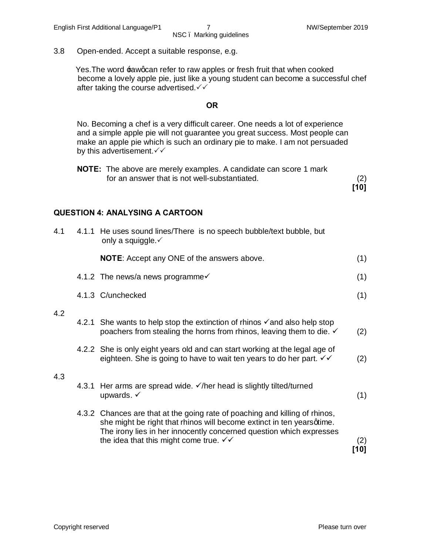3.8 Open-ended. Accept a suitable response, e.g.

Yes. The word  $\pm$ awgcan refer to raw apples or fresh fruit that when cooked become a lovely apple pie, just like a young student can become a successful chef after taking the course advertised. $\checkmark\checkmark$ 

#### **OR**

No. Becoming a chef is a very difficult career. One needs a lot of experience and a simple apple pie will not guarantee you great success. Most people can make an apple pie which is such an ordinary pie to make. I am not persuaded by this advertisement. $\checkmark\checkmark$ 

| <b>NOTE:</b> The above are merely examples. A candidate can score 1 mark |      |
|--------------------------------------------------------------------------|------|
| for an answer that is not well-substantiated.                            | (2)  |
|                                                                          | [10] |

#### **QUESTION 4: ANALYSING A CARTOON**

| 4.1 | 4.1.1 He uses sound lines/There is no speech bubble/text bubble, but<br>only a squiggle.√                                                                                                                                   |             |
|-----|-----------------------------------------------------------------------------------------------------------------------------------------------------------------------------------------------------------------------------|-------------|
|     | <b>NOTE:</b> Accept any ONE of the answers above.                                                                                                                                                                           | (1)         |
|     | 4.1.2 The news/a news programme√                                                                                                                                                                                            | (1)         |
|     | 4.1.3 C/unchecked                                                                                                                                                                                                           | (1)         |
| 4.2 |                                                                                                                                                                                                                             |             |
|     | 4.2.1 She wants to help stop the extinction of rhinos $\checkmark$ and also help stop<br>poachers from stealing the horns from rhinos, leaving them to die. $\checkmark$                                                    | (2)         |
|     | 4.2.2 She is only eight years old and can start working at the legal age of<br>eighteen. She is going to have to wait ten years to do her part. VV                                                                          | (2)         |
| 4.3 |                                                                                                                                                                                                                             |             |
|     | 4.3.1 Her arms are spread wide. √/her head is slightly tilted/turned<br>upwards. $\checkmark$                                                                                                                               | (1)         |
|     | 4.3.2 Chances are that at the going rate of poaching and killing of rhinos,<br>she might be right that rhinos will become extinct in ten yearsqtime.<br>The irony lies in her innocently concerned question which expresses |             |
|     | the idea that this might come true. $\checkmark\checkmark$                                                                                                                                                                  | (2)<br>[10] |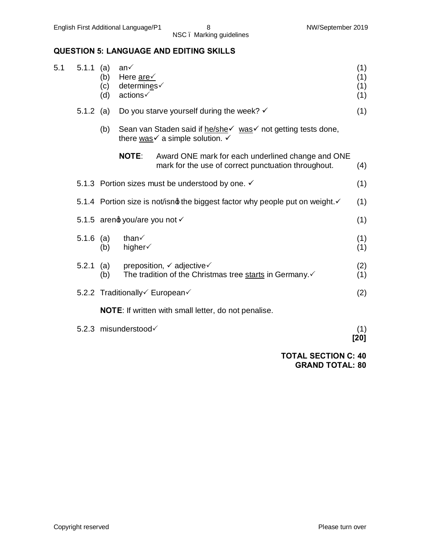### **QUESTION 5: LANGUAGE AND EDITING SKILLS**

| 5.1 | 5.1.1       | (a)<br>(b)<br>(c)<br>(d) | an√<br>Here are<br>determines√<br>actions√ |                                                                                                                                                      | (1)<br>(1)<br>(1)<br>(1) |
|-----|-------------|--------------------------|--------------------------------------------|------------------------------------------------------------------------------------------------------------------------------------------------------|--------------------------|
|     | 5.1.2 (a)   |                          |                                            | Do you starve yourself during the week? $\checkmark$                                                                                                 | (1)                      |
|     |             | (b)                      |                                            | Sean van Staden said if he/she√ was√ not getting tests done,<br>there $\underline{\text{was}}\check{\text{y}}$ a simple solution. $\check{\text{y}}$ |                          |
|     |             |                          | <b>NOTE:</b>                               | Award ONE mark for each underlined change and ONE<br>mark for the use of correct punctuation throughout.                                             | (4)                      |
|     |             |                          |                                            | 5.1.3 Portion sizes must be understood by one. √                                                                                                     | (1)                      |
|     |             |                          |                                            | 5.1.4 Portion size is not/isnot the biggest factor why people put on weight.                                                                         | (1)                      |
|     |             |                          | 5.1.5 arend you/are you not v              |                                                                                                                                                      | (1)                      |
|     | $5.1.6$ (a) | (b)                      | than√<br>higher√                           |                                                                                                                                                      | (1)<br>(1)               |
|     | 5.2.1       | (a)<br>(b)               |                                            | preposition, $\checkmark$ adjective $\checkmark$<br>The tradition of the Christmas tree starts in Germany.                                           | (2)<br>(1)               |
|     |             |                          |                                            | 5.2.2 Traditionally European                                                                                                                         | (2)                      |
|     |             |                          |                                            | <b>NOTE:</b> If written with small letter, do not penalise.                                                                                          |                          |
|     |             |                          | 5.2.3 misunderstood                        |                                                                                                                                                      | (1)<br>[20]              |
|     |             |                          |                                            | <b>TOTAL SECTION C: 40</b>                                                                                                                           |                          |

**GRAND TOTAL: 80**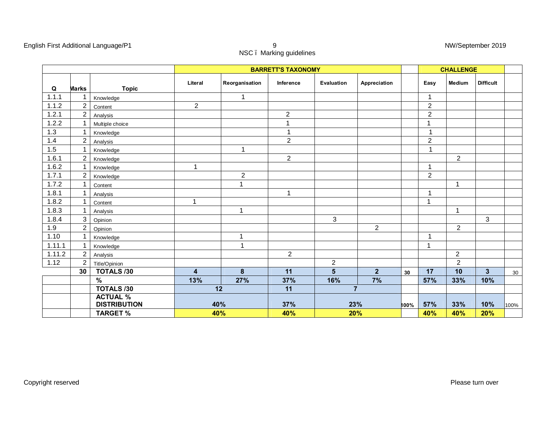| English First Additional Language/P1 |                         | NW/Sep |
|--------------------------------------|-------------------------|--------|
|                                      | NSC. Marking guidelines |        |

| NW/September 2019 |  |
|-------------------|--|
|                   |  |

|        |                  |                                        |                         |                | <b>CHALLENGE</b> |                |                |      |                |                |                  |      |
|--------|------------------|----------------------------------------|-------------------------|----------------|------------------|----------------|----------------|------|----------------|----------------|------------------|------|
| Q      | <b>Marks</b>     | <b>Topic</b>                           | Literal                 | Reorganisation | Inference        | Evaluation     | Appreciation   |      | Easy           | <b>Medium</b>  | <b>Difficult</b> |      |
| 1.1.1  |                  | Knowledge                              |                         | 1              |                  |                |                |      | 1              |                |                  |      |
| 1.1.2  | 2                | Content                                | $\overline{c}$          |                |                  |                |                |      | $\overline{c}$ |                |                  |      |
| 1.2.1  | $\boldsymbol{2}$ | Analysis                               |                         |                | $\overline{2}$   |                |                |      | $\overline{2}$ |                |                  |      |
| 1.2.2  |                  | Multiple choice                        |                         |                | $\mathbf{1}$     |                |                |      | $\mathbf{1}$   |                |                  |      |
| 1.3    | 1                | Knowledge                              |                         |                | $\mathbf{1}$     |                |                |      | $\mathbf{1}$   |                |                  |      |
| 1.4    | $\overline{2}$   | Analysis                               |                         |                | $\overline{c}$   |                |                |      | $\overline{2}$ |                |                  |      |
| 1.5    |                  | Knowledge                              |                         | 1              |                  |                |                |      | $\mathbf{1}$   |                |                  |      |
| 1.6.1  | $\boldsymbol{2}$ | Knowledge                              |                         |                | $\overline{c}$   |                |                |      |                | $\overline{2}$ |                  |      |
| 1.6.2  | 1                | Knowledge                              | $\mathbf 1$             |                |                  |                |                |      | $\mathbf{1}$   |                |                  |      |
| 1.7.1  | $\overline{2}$   | Knowledge                              |                         | $\overline{2}$ |                  |                |                |      | $\overline{2}$ |                |                  |      |
| 1.7.2  |                  | Content                                |                         | 1              |                  |                |                |      |                | 1              |                  |      |
| 1.8.1  | 1                | Analysis                               |                         |                | $\mathbf{1}$     |                |                |      | $\mathbf{1}$   |                |                  |      |
| 1.8.2  | 1                | Content                                | 1                       |                |                  |                |                |      | $\mathbf{1}$   |                |                  |      |
| 1.8.3  | 1                | Analysis                               |                         | 1              |                  |                |                |      |                | $\mathbf{1}$   |                  |      |
| 1.8.4  | 3                | Opinion                                |                         |                |                  | 3              |                |      |                |                | 3                |      |
| 1.9    | 2                | Opinion                                |                         |                |                  |                | $\overline{2}$ |      |                | 2              |                  |      |
| 1.10   | 1                | Knowledge                              |                         | 1              |                  |                |                |      | 1              |                |                  |      |
| 1.11.1 |                  | Knowledge                              |                         |                |                  |                |                |      | $\mathbf{1}$   |                |                  |      |
| 1.11.2 | $\overline{c}$   | Analysis                               |                         |                | $\overline{c}$   |                |                |      |                | $\overline{2}$ |                  |      |
| 1.12   | $\overline{2}$   | Title/Opinion                          |                         |                |                  | $\overline{2}$ |                |      |                | $\overline{2}$ |                  |      |
|        | 30               | <b>TOTALS /30</b>                      | $\overline{\mathbf{4}}$ | 8              | 11               | $5\phantom{1}$ | $\overline{2}$ | 30   | 17             | 10             | $\overline{3}$   | 30   |
|        |                  | %                                      | 13%                     | 27%            | 37%              | 16%            | 7%             |      | 57%            | 33%            | 10%              |      |
|        |                  | <b>TOTALS /30</b>                      |                         | 12             | 11               | $\overline{7}$ |                |      |                |                |                  |      |
|        |                  | <b>ACTUAL %</b><br><b>DISTRIBUTION</b> |                         | 40%            | 37%              |                |                |      | 57%            | 33%            | 10%              |      |
|        |                  |                                        |                         |                |                  | 23%            |                | 100% |                | 40%            |                  | 100% |
|        |                  | <b>TARGET %</b>                        |                         | 40%            | 40%              | 20%            |                |      | 40%            |                | 20%              |      |

Copyright reserved Please turn over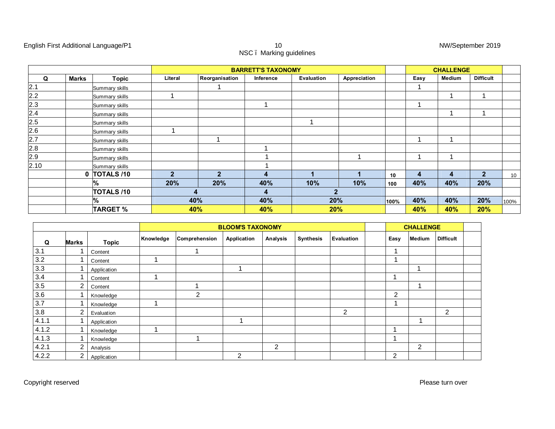#### English First Additional Language/P1 **10** 10 NW/September 2019

|         |              |                   |              | <b>BARRETT'S TAXONOMY</b> |           |            |              |      |      |        | <b>CHALLENGE</b> |      |  |  |
|---------|--------------|-------------------|--------------|---------------------------|-----------|------------|--------------|------|------|--------|------------------|------|--|--|
| Q       | <b>Marks</b> | <b>Topic</b>      | Literal      | Reorganisation            | Inference | Evaluation | Appreciation |      | Easy | Medium | <b>Difficult</b> |      |  |  |
| 2.1     |              | Summary skills    |              |                           |           |            |              |      |      |        |                  |      |  |  |
| 2.2     |              | Summary skills    |              |                           |           |            |              |      |      |        |                  |      |  |  |
| $2.3\,$ |              | Summary skills    |              |                           |           |            |              |      |      |        |                  |      |  |  |
| 2.4     |              | Summary skills    |              |                           |           |            |              |      |      |        |                  |      |  |  |
| $2.5\,$ |              | Summary skills    |              |                           |           |            |              |      |      |        |                  |      |  |  |
| 2.6     |              | Summary skills    |              |                           |           |            |              |      |      |        |                  |      |  |  |
| 2.7     |              | Summary skills    |              |                           |           |            |              |      |      |        |                  |      |  |  |
| 2.8     |              | Summary skills    |              |                           |           |            |              |      |      |        |                  |      |  |  |
| 2.9     |              | Summary skills    |              |                           |           |            |              |      |      |        |                  |      |  |  |
| 2.10    |              | Summary skills    |              |                           |           |            |              |      |      |        |                  |      |  |  |
|         | 0            | <b>TOTALS /10</b> | $\mathbf{c}$ | $\mathcal{P}$             | 4         |            |              | 10   | 4    | 4      | $\overline{2}$   | 10   |  |  |
|         |              | %                 | 20%          | 20%                       | 40%       | 10%        | 10%          | 100  | 40%  | 40%    | 20%              |      |  |  |
|         |              | <b>TOTALS /10</b> |              |                           | 4         |            | $\mathbf{2}$ |      |      |        |                  |      |  |  |
|         |              | %                 |              | 40%                       | 40%       |            | 20%          | 100% | 40%  | 40%    | 20%              | 100% |  |  |
|         |              | <b>TARGET %</b>   |              | 40%                       | 40%       |            | 20%          |      | 40%  | 40%    | 20%              |      |  |  |

|       |              |              | <b>BLOOM'S TAXONOMY</b> |               |             |          |                  |            |  | <b>CHALLENGE</b> |        |                  |  |
|-------|--------------|--------------|-------------------------|---------------|-------------|----------|------------------|------------|--|------------------|--------|------------------|--|
| Q     | <b>Marks</b> | <b>Topic</b> | Knowledge               | Comprehension | Application | Analysis | <b>Synthesis</b> | Evaluation |  | Easy             | Medium | <b>Difficult</b> |  |
| 3.1   |              | Content      |                         |               |             |          |                  |            |  | ٠                |        |                  |  |
| 3.2   |              | Content      |                         |               |             |          |                  |            |  |                  |        |                  |  |
| 3.3   |              | Application  |                         |               |             |          |                  |            |  |                  |        |                  |  |
| 3.4   |              | Content      |                         |               |             |          |                  |            |  |                  |        |                  |  |
| 3.5   | 2            | Content      |                         |               |             |          |                  |            |  |                  |        |                  |  |
| 3.6   |              | Knowledge    |                         | 2             |             |          |                  |            |  | 2                |        |                  |  |
| 3.7   |              | Knowledge    |                         |               |             |          |                  |            |  |                  |        |                  |  |
| 3.8   | 2            | Evaluation   |                         |               |             |          |                  | 2          |  |                  |        | 2                |  |
| 4.1.1 |              | Application  |                         |               |             |          |                  |            |  |                  |        |                  |  |
| 4.1.2 |              | Knowledge    | ٠                       |               |             |          |                  |            |  |                  |        |                  |  |
| 4.1.3 |              | Knowledge    |                         |               |             |          |                  |            |  |                  |        |                  |  |
| 4.2.1 | 2            | Analysis     |                         |               |             | 2        |                  |            |  |                  | 2      |                  |  |
| 4.2.2 | 2            | Application  |                         |               | 2           |          |                  |            |  | 2                |        |                  |  |

10<br>NSC . Marking guidelines